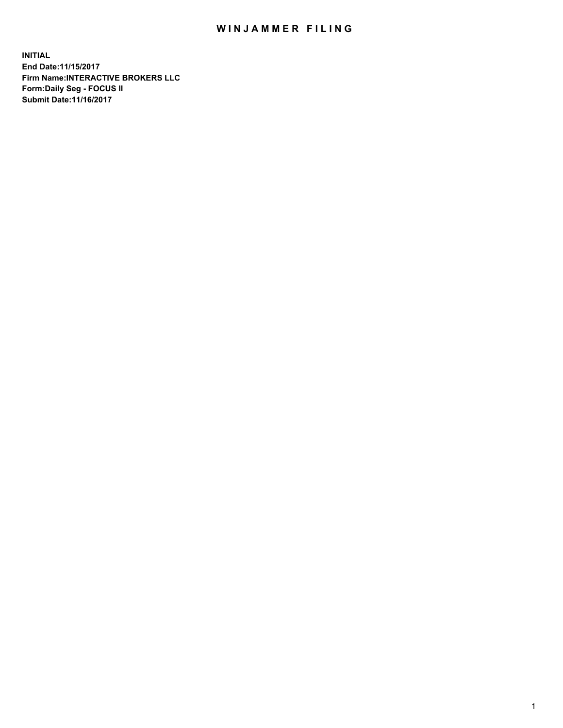## WIN JAMMER FILING

**INITIAL End Date:11/15/2017 Firm Name:INTERACTIVE BROKERS LLC Form:Daily Seg - FOCUS II Submit Date:11/16/2017**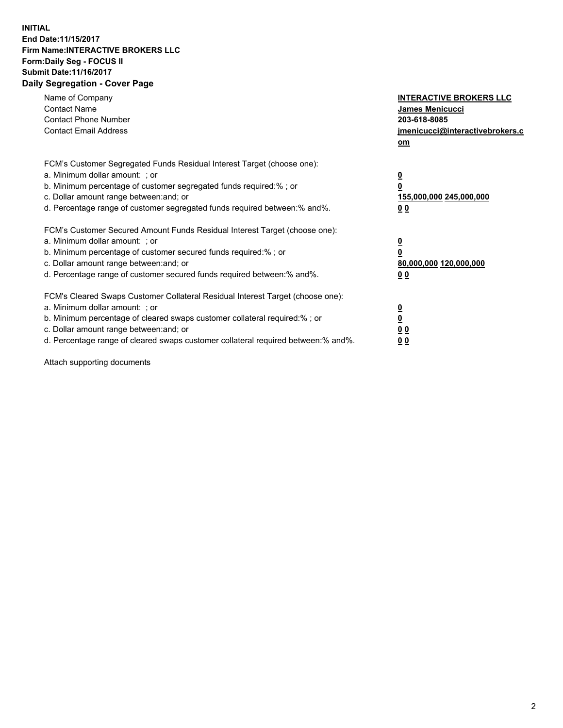## **INITIAL End Date:11/15/2017 Firm Name:INTERACTIVE BROKERS LLC Form:Daily Seg - FOCUS II Submit Date:11/16/2017 Daily Segregation - Cover Page**

| Name of Company<br><b>Contact Name</b><br><b>Contact Phone Number</b><br><b>Contact Email Address</b>                                                                                                                                                                                                                          | <b>INTERACTIVE BROKERS LLC</b><br><b>James Menicucci</b><br>203-618-8085<br><u>jmenicucci@interactivebrokers.c</u><br>om |
|--------------------------------------------------------------------------------------------------------------------------------------------------------------------------------------------------------------------------------------------------------------------------------------------------------------------------------|--------------------------------------------------------------------------------------------------------------------------|
| FCM's Customer Segregated Funds Residual Interest Target (choose one):<br>a. Minimum dollar amount: ; or<br>b. Minimum percentage of customer segregated funds required:%; or<br>c. Dollar amount range between: and; or<br>d. Percentage range of customer segregated funds required between:% and%.                          | <u>0</u><br>0<br><u>155,000,000 245,000,000</u><br>0 <sub>0</sub>                                                        |
| FCM's Customer Secured Amount Funds Residual Interest Target (choose one):<br>a. Minimum dollar amount: ; or<br>b. Minimum percentage of customer secured funds required:%; or<br>c. Dollar amount range between: and; or<br>d. Percentage range of customer secured funds required between:% and%.                            | $\overline{\mathbf{0}}$<br>0<br>80,000,000 120,000,000<br>0 <sub>0</sub>                                                 |
| FCM's Cleared Swaps Customer Collateral Residual Interest Target (choose one):<br>a. Minimum dollar amount: ; or<br>b. Minimum percentage of cleared swaps customer collateral required:% ; or<br>c. Dollar amount range between: and; or<br>d. Percentage range of cleared swaps customer collateral required between:% and%. | $\underline{\mathbf{0}}$<br>$\overline{\mathbf{0}}$<br>0 <sub>0</sub><br><u>00</u>                                       |

Attach supporting documents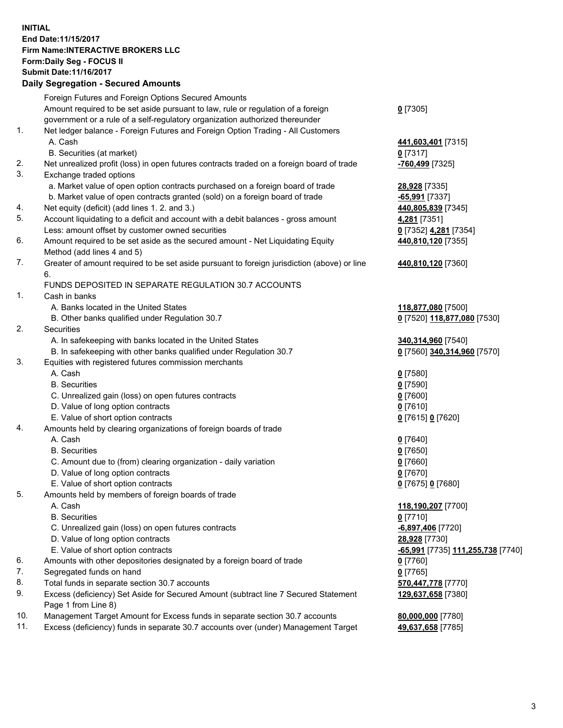## **INITIAL End Date:11/15/2017 Firm Name:INTERACTIVE BROKERS LLC Form:Daily Seg - FOCUS II Submit Date:11/16/2017 Daily Segregation - Secured Amounts**

|     | Daily Jegiegation - Jeculed Aniounts                                                                       |                                   |
|-----|------------------------------------------------------------------------------------------------------------|-----------------------------------|
|     | Foreign Futures and Foreign Options Secured Amounts                                                        |                                   |
|     | Amount required to be set aside pursuant to law, rule or regulation of a foreign                           | $0$ [7305]                        |
|     | government or a rule of a self-regulatory organization authorized thereunder                               |                                   |
| 1.  | Net ledger balance - Foreign Futures and Foreign Option Trading - All Customers                            |                                   |
|     | A. Cash                                                                                                    | 441,603,401 [7315]                |
|     | B. Securities (at market)                                                                                  | $0$ [7317]                        |
| 2.  | Net unrealized profit (loss) in open futures contracts traded on a foreign board of trade                  | -760,499 [7325]                   |
| 3.  | Exchange traded options                                                                                    |                                   |
|     | a. Market value of open option contracts purchased on a foreign board of trade                             | 28,928 [7335]                     |
|     | b. Market value of open contracts granted (sold) on a foreign board of trade                               | $-65,991$ [7337]                  |
| 4.  | Net equity (deficit) (add lines 1.2. and 3.)                                                               | 440,805,839 [7345]                |
| 5.  | Account liquidating to a deficit and account with a debit balances - gross amount                          | 4,281 [7351]                      |
|     | Less: amount offset by customer owned securities                                                           | 0 [7352] 4,281 [7354]             |
| 6.  | Amount required to be set aside as the secured amount - Net Liquidating Equity                             | 440,810,120 [7355]                |
|     | Method (add lines 4 and 5)                                                                                 |                                   |
| 7.  | Greater of amount required to be set aside pursuant to foreign jurisdiction (above) or line                | 440,810,120 [7360]                |
|     | 6.                                                                                                         |                                   |
|     | FUNDS DEPOSITED IN SEPARATE REGULATION 30.7 ACCOUNTS                                                       |                                   |
| 1.  | Cash in banks                                                                                              |                                   |
|     | A. Banks located in the United States                                                                      | 118,877,080 [7500]                |
|     | B. Other banks qualified under Regulation 30.7                                                             | 0 [7520] 118,877,080 [7530]       |
| 2.  | Securities                                                                                                 |                                   |
|     | A. In safekeeping with banks located in the United States                                                  | 340,314,960 [7540]                |
|     | B. In safekeeping with other banks qualified under Regulation 30.7                                         | 0 [7560] 340,314,960 [7570]       |
| 3.  | Equities with registered futures commission merchants                                                      |                                   |
|     | A. Cash                                                                                                    | $0$ [7580]                        |
|     | <b>B.</b> Securities                                                                                       | $0$ [7590]                        |
|     | C. Unrealized gain (loss) on open futures contracts                                                        | $0$ [7600]                        |
|     | D. Value of long option contracts                                                                          | $0$ [7610]                        |
|     | E. Value of short option contracts                                                                         | 0 [7615] 0 [7620]                 |
| 4.  | Amounts held by clearing organizations of foreign boards of trade                                          |                                   |
|     | A. Cash                                                                                                    | $0$ [7640]                        |
|     | <b>B.</b> Securities                                                                                       | $0$ [7650]                        |
|     | C. Amount due to (from) clearing organization - daily variation                                            | $0$ [7660]                        |
|     | D. Value of long option contracts                                                                          | $0$ [7670]                        |
|     | E. Value of short option contracts                                                                         | 0 [7675] 0 [7680]                 |
| 5.  | Amounts held by members of foreign boards of trade                                                         |                                   |
|     | A. Cash                                                                                                    | 118,190,207 [7700]                |
|     | <b>B.</b> Securities                                                                                       | $0$ [7710]                        |
|     | C. Unrealized gain (loss) on open futures contracts                                                        | -6,897,406 [7720]                 |
|     | D. Value of long option contracts                                                                          | 28,928 [7730]                     |
|     | E. Value of short option contracts                                                                         | -65,991 [7735] 111,255,738 [7740] |
| 6.  | Amounts with other depositories designated by a foreign board of trade                                     | 0 [7760]                          |
| 7.  | Segregated funds on hand                                                                                   | $0$ [7765]                        |
| 8.  | Total funds in separate section 30.7 accounts                                                              | 570,447,778 [7770]                |
| 9.  | Excess (deficiency) Set Aside for Secured Amount (subtract line 7 Secured Statement<br>Page 1 from Line 8) | 129,637,658 [7380]                |
| 10. | Management Target Amount for Excess funds in separate section 30.7 accounts                                | 80,000,000 [7780]                 |
| 11. | Excess (deficiency) funds in separate 30.7 accounts over (under) Management Target                         | 49,637,658 [7785]                 |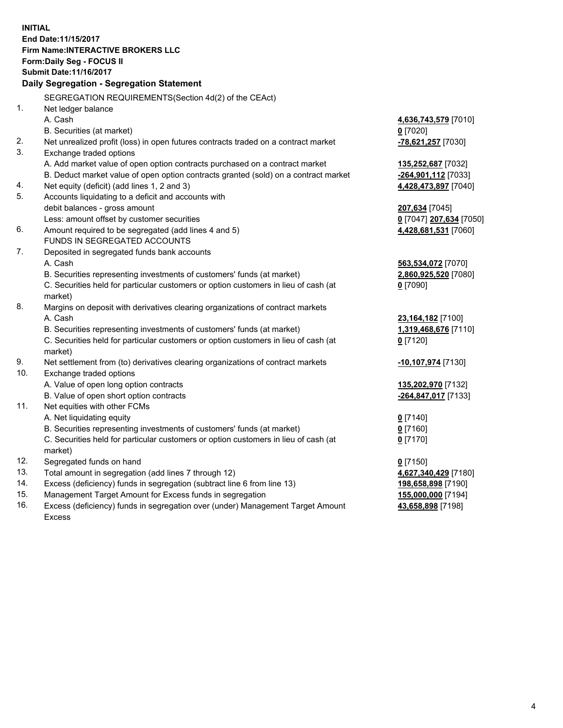**INITIAL End Date:11/15/2017 Firm Name:INTERACTIVE BROKERS LLC Form:Daily Seg - FOCUS II Submit Date:11/16/2017 Daily Segregation - Segregation Statement** SEGREGATION REQUIREMENTS(Section 4d(2) of the CEAct) 1. Net ledger balance A. Cash **4,636,743,579** [7010] B. Securities (at market) **0** [7020] 2. Net unrealized profit (loss) in open futures contracts traded on a contract market **-78,621,257** [7030] 3. Exchange traded options A. Add market value of open option contracts purchased on a contract market **135,252,687** [7032] B. Deduct market value of open option contracts granted (sold) on a contract market **-264,901,112** [7033] 4. Net equity (deficit) (add lines 1, 2 and 3) **4,428,473,897** [7040] 5. Accounts liquidating to a deficit and accounts with debit balances - gross amount **207,634** [7045] Less: amount offset by customer securities **0** [7047] **207,634** [7050] 6. Amount required to be segregated (add lines 4 and 5) **4,428,681,531** [7060] FUNDS IN SEGREGATED ACCOUNTS 7. Deposited in segregated funds bank accounts A. Cash **563,534,072** [7070] B. Securities representing investments of customers' funds (at market) **2,860,925,520** [7080] C. Securities held for particular customers or option customers in lieu of cash (at market) **0** [7090] 8. Margins on deposit with derivatives clearing organizations of contract markets A. Cash **23,164,182** [7100] B. Securities representing investments of customers' funds (at market) **1,319,468,676** [7110] C. Securities held for particular customers or option customers in lieu of cash (at market) **0** [7120] 9. Net settlement from (to) derivatives clearing organizations of contract markets **-10,107,974** [7130] 10. Exchange traded options A. Value of open long option contracts **135,202,970** [7132] B. Value of open short option contracts **-264,847,017** [7133] 11. Net equities with other FCMs A. Net liquidating equity **0** [7140] B. Securities representing investments of customers' funds (at market) **0** [7160] C. Securities held for particular customers or option customers in lieu of cash (at market) **0** [7170] 12. Segregated funds on hand **0** [7150] 13. Total amount in segregation (add lines 7 through 12) **4,627,340,429** [7180] 14. Excess (deficiency) funds in segregation (subtract line 6 from line 13) **198,658,898** [7190] 15. Management Target Amount for Excess funds in segregation **155,000,000** [7194]

16. Excess (deficiency) funds in segregation over (under) Management Target Amount Excess

**43,658,898** [7198]